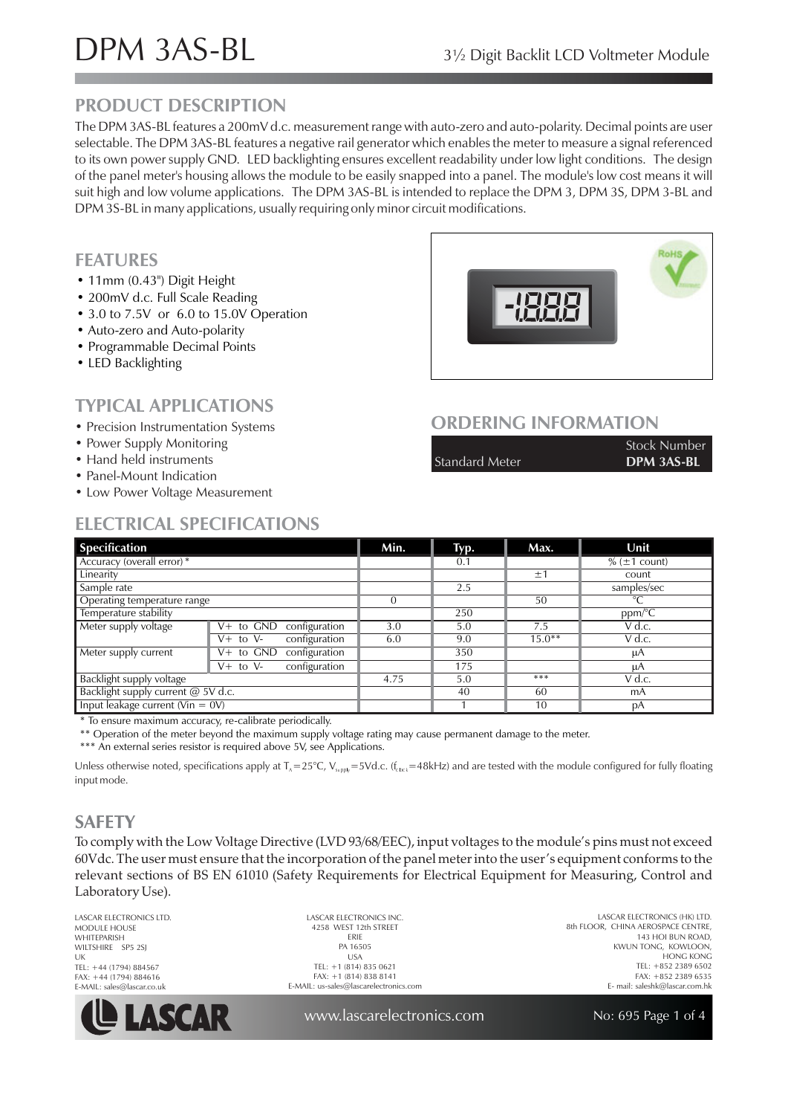# DPM 3AS-BL 3<sup>1/2</sup> Digit Backlit LCD Voltmeter Module

#### **PRODUCT DESCRIPTION**

The DPM 3AS-BL features a 200mV d.c. measurement range with auto-zero and auto-polarity. Decimal points are user selectable. The DPM 3AS-BL features a negative rail generator which enables the meter to measure a signal referenced to its own power supply GND. LED backlighting ensures excellent readability under low light conditions. The design of the panel meter's housing allows the module to be easily snapped into a panel. The module's low cost means it will suit high and low volume applications. The DPM 3AS-BL is intended to replace the DPM 3, DPM 3S, DPM 3-BL and DPM 3S-BL in many applications, usually requiring only minor circuit modifications.

#### **FEATURES**

- 11 mm (0.43") Digit Height
- 200mV d.c. Full Scale Reading
- 3.0 to 7.5V or 6.0 to 15.0V Operation
- Auto-zero and Auto-polarity
- Programmable Decimal Points
- LED Backlighting

#### **TYPICAL APPLICATIONS**

- Precision Instrumentation Systems
- Power Supply Monitoring
- Hand held instruments
- Panel-Mount Indication
- Low Power Voltage Measurement

### **ELECTRICAL SPECIFICATIONS**

#### **ORDERING INFORMATION**

|                       | <b>Stock Number</b> |
|-----------------------|---------------------|
| <b>Standard Meter</b> | <b>DPM 3AS-BL</b>   |

| <b>Specification</b>                 |                                | Min. | Typ. | Max.     | Unit                 |
|--------------------------------------|--------------------------------|------|------|----------|----------------------|
| Accuracy (overall error)*            |                                |      | 0.1  |          | $% (\pm 1$ count)    |
| Linearity                            |                                |      |      | ±1       | count                |
| Sample rate                          |                                |      | 2.5  |          | samples/sec          |
| Operating temperature range          |                                | 0    |      | 50       | $^{\circ}C$          |
| Temperature stability                |                                |      | 250  |          | $ppm$ <sup>o</sup> C |
| Meter supply voltage                 | $V+$ to $GND$<br>configuration | 3.0  | 5.0  | 7.5      | $V$ d.c.             |
|                                      | configuration<br>$V+$ to $V-$  | 6.0  | 9.0  | $15.0**$ | $V$ d.c.             |
| Meter supply current                 | $V+$ to $GND$<br>configuration |      | 350  |          | μA                   |
|                                      | configuration<br>$V+$ to $V-$  |      | 175  |          | μA                   |
| Backlight supply voltage             |                                | 4.75 | 5.0  | ***      | V d.c.               |
| Backlight supply current @ 5V d.c.   |                                |      | 40   | 60       | mA                   |
| Input leakage current ( $V$ in = 0V) |                                |      |      | 10       | рA                   |

\* To ensure maximum accuracy, re-calibrate periodically.

\*\* Operation of the meter beyond the maximum supply voltage rating may cause permanent damage to the meter.

\*\*\* An external series resistor is required above 5V, see Applications.

Unless otherwise noted, specifications apply at T $_{\rm A}=25^{\circ}$ C, V $_{\rm supp k}=$  5Vd.c. (f $_{\rm cbck}=$ 48kHz) and are tested with the module configured for fully floating input mode.

#### **SAFETY**

To comply with the Low Voltage Directive (LVD 93/68/EEC), input voltages to the module's pins must not exceed 60Vdc. The user must ensure that the incorporation of the panel meter into the user's equipment conforms to the relevant sections of BS EN 61010 (Safety Requirements for Electrical Equipment for Measuring, Control and Laboratory Use).

LASCAR ELECTRONICS LTD. MODULE HOUSE WHITEPARISH WILTSHIRE SP5 2SJ UK TEL: +44 (1794) 884567 FAX: +44 (1794) 884616 E-MAIL: sales@lascar.co.uk



LASCAR ELECTRONICS INC. 4258 WEST 12th STREET ERIE PA 16505 USA TEL: +1 (814) 835 0621 FAX: +1 (814) 838 8141 E-MAIL: us-sales@lascarelectronics.com

LASCAR ELECTRONICS (HK) LTD. 8th FLOOR, CHINA AEROSPACE CENTRE, 143 HOI BUN ROAD, KWUN TONG, KOWLOON, HONG KONG TEL: +852 2389 6502 FAX: +852 2389 6535 E- mail: saleshk@lascar.com.hk

www.lascarelectronics.com

No: 695 Page 1 of 4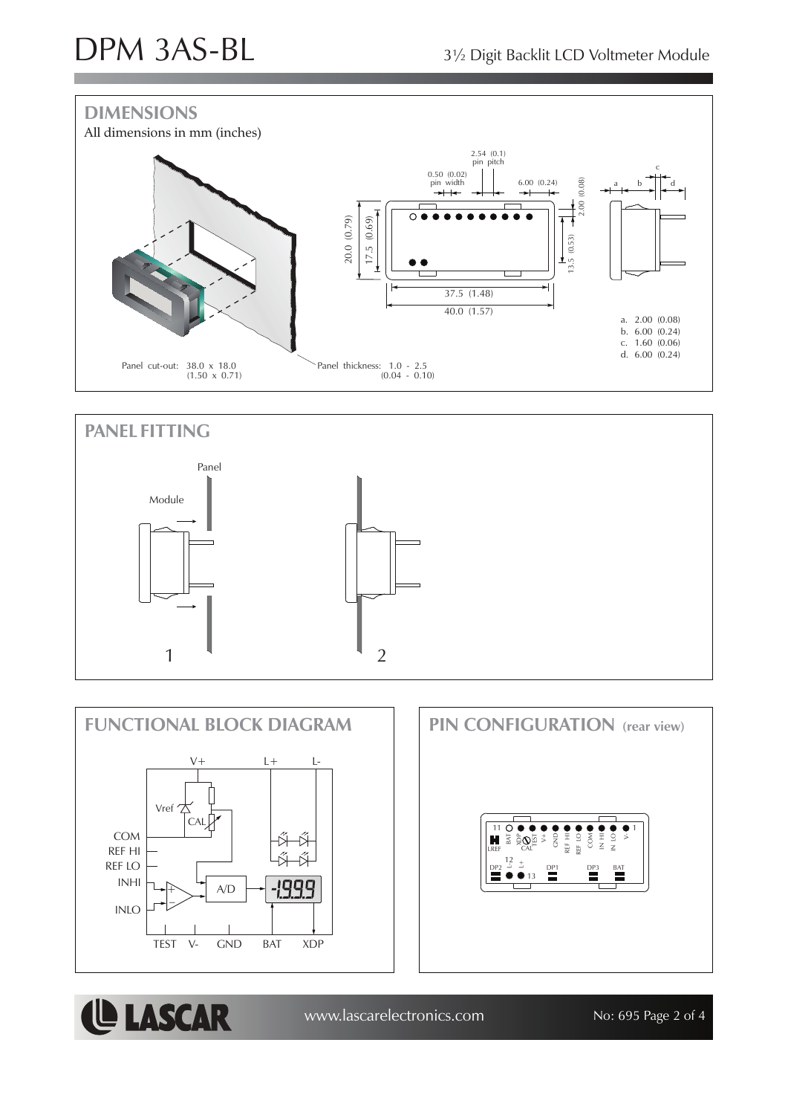**LASCAR** 







www.lascarelectronics.com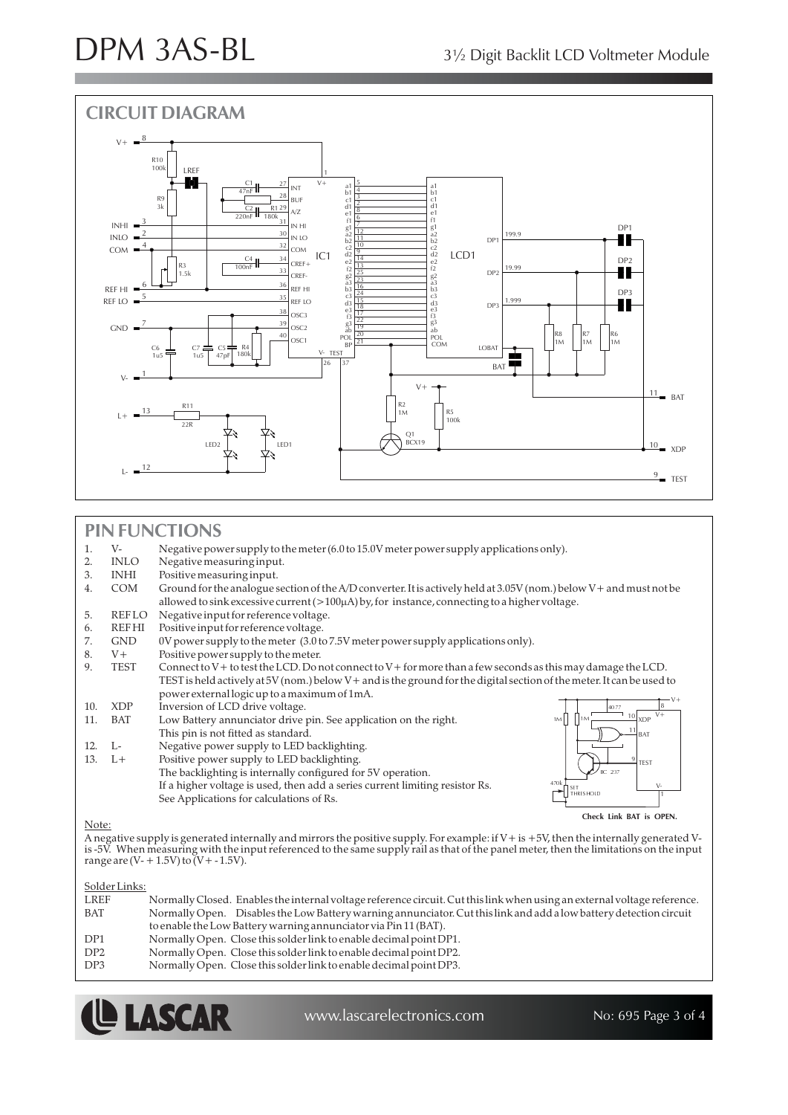

#### **PIN FUNCTIONS**

|       | $V -$        | Negative power supply to the meter (6.0 to 15.0V meter power supply applications only).                                                                                                                                                                                                                                                                                                                                                                                                                                                       |
|-------|--------------|-----------------------------------------------------------------------------------------------------------------------------------------------------------------------------------------------------------------------------------------------------------------------------------------------------------------------------------------------------------------------------------------------------------------------------------------------------------------------------------------------------------------------------------------------|
|       | <b>INLO</b>  | Negative measuring input.                                                                                                                                                                                                                                                                                                                                                                                                                                                                                                                     |
| 3.    | <b>INHI</b>  | Positive measuring input.                                                                                                                                                                                                                                                                                                                                                                                                                                                                                                                     |
| 4.    | <b>COM</b>   | Ground for the analogue section of the A/D converter. It is actively held at 3.05V (nom.) below V + and must not be                                                                                                                                                                                                                                                                                                                                                                                                                           |
|       |              | allowed to sink excessive current $(>100\mu A)$ by, for instance, connecting to a higher voltage.                                                                                                                                                                                                                                                                                                                                                                                                                                             |
| 5.    | REFLO        | Negative input for reference voltage.                                                                                                                                                                                                                                                                                                                                                                                                                                                                                                         |
| 6.    | <b>REFHI</b> | Positive input for reference voltage.                                                                                                                                                                                                                                                                                                                                                                                                                                                                                                         |
| 7.    | <b>GND</b>   | 0V power supply to the meter (3.0 to 7.5V meter power supply applications only).                                                                                                                                                                                                                                                                                                                                                                                                                                                              |
| 8.    | $V +$        | Positive power supply to the meter.                                                                                                                                                                                                                                                                                                                                                                                                                                                                                                           |
| 9.    | TEST         | Connect to V + to test the LCD. Do not connect to V + for more than a few seconds as this may damage the LCD.                                                                                                                                                                                                                                                                                                                                                                                                                                 |
|       |              | TEST is held actively at 5V (nom.) below $V$ + and is the ground for the digital section of the meter. It can be used to                                                                                                                                                                                                                                                                                                                                                                                                                      |
|       |              | power external logic up to a maximum of 1mA.                                                                                                                                                                                                                                                                                                                                                                                                                                                                                                  |
| 10.   | <b>XDP</b>   | Inversion of LCD drive voltage.<br>4077                                                                                                                                                                                                                                                                                                                                                                                                                                                                                                       |
| 11.   | <b>BAT</b>   | $V +$<br>$\frac{10}{2}$ XDP<br>Low Battery annunciator drive pin. See application on the right.<br>1M                                                                                                                                                                                                                                                                                                                                                                                                                                         |
|       |              | $\frac{11}{11}$ BAT<br>This pin is not fitted as standard.                                                                                                                                                                                                                                                                                                                                                                                                                                                                                    |
| 12.   | L-           | Negative power supply to LED backlighting.                                                                                                                                                                                                                                                                                                                                                                                                                                                                                                    |
| 13.   | $L+$         | Positive power supply to LED backlighting.<br><b>TEST</b>                                                                                                                                                                                                                                                                                                                                                                                                                                                                                     |
|       |              | The backlighting is internally configured for 5V operation.<br>BC 237                                                                                                                                                                                                                                                                                                                                                                                                                                                                         |
|       |              | 470k<br>If a higher voltage is used, then add a series current limiting resistor Rs.<br>$V -$<br>-SET                                                                                                                                                                                                                                                                                                                                                                                                                                         |
|       |              | TH RESHOLD<br>See Applications for calculations of Rs.                                                                                                                                                                                                                                                                                                                                                                                                                                                                                        |
|       |              | Check Link BAT is OPEN.                                                                                                                                                                                                                                                                                                                                                                                                                                                                                                                       |
| Note: |              | $\mathbf{a}$ , $\mathbf{a}$ , $\mathbf{a}$ , $\mathbf{a}$ , $\mathbf{a}$ , $\mathbf{a}$ , $\mathbf{a}$ , $\mathbf{a}$ , $\mathbf{a}$ , $\mathbf{a}$ , $\mathbf{a}$ , $\mathbf{a}$ , $\mathbf{a}$ , $\mathbf{a}$ , $\mathbf{a}$ , $\mathbf{a}$ , $\mathbf{a}$ , $\mathbf{a}$ , $\mathbf{a}$ , $\mathbf{a}$ ,<br>$1.1$ $1.057$ $1.1$ $1.1$ $1.1$ $1.1$ $1.1$ $1.1$ $1.1$ $1.1$ $1.1$ $1.1$ $1.1$ $1.1$ $1.1$ $1.1$ $1.1$ $1.1$ $1.1$ $1.1$ $1.1$ $1.1$ $1.1$ $1.1$ $1.1$ $1.1$ $1.1$ $1.1$ $1.1$ $1.1$ $1.1$ $1.1$ $1.1$ $1.1$ $1.1$ $1.1$ $1.$ |

A negative supply is generated internally and mirrors the positive supply. For example: if V+ is +5V, then the internally generated Vis -5V. When measuring with the input referenced to the same supply rail as that of the panel meter, then the limitations on the input range are (V- + 1.5V) to (V+ - 1.5V).

#### Solder Links:

| LREF            | Normally Closed. Enables the internal voltage reference circuit. Cut this link when using an external voltage reference. |
|-----------------|--------------------------------------------------------------------------------------------------------------------------|
| BAT             | Normally Open. Disables the Low Battery warning annunciator. Cut this link and add a low battery detection circuit       |
|                 | to enable the Low Battery warning annunciator via Pin 11 (BAT).                                                          |
| DP <sub>1</sub> | Normally Open. Close this solder link to enable decimal point DP1.                                                       |
| DP2             | Normally Open. Close this solder link to enable decimal point DP2.                                                       |
| DP3             | Normally Open. Close this solder link to enable decimal point DP3.                                                       |
|                 |                                                                                                                          |



www.lascarelectronics.com